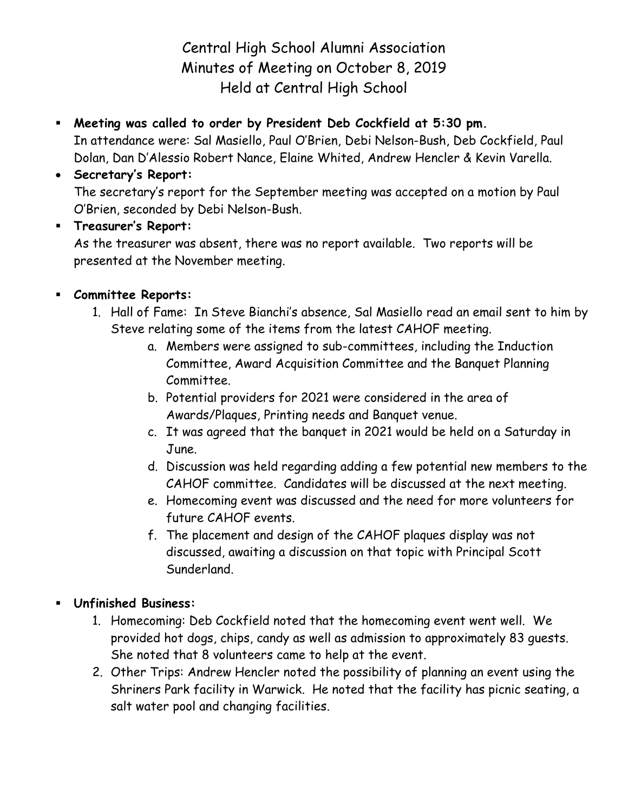Central High School Alumni Association Minutes of Meeting on October 8, 2019 Held at Central High School

 **Meeting was called to order by President Deb Cockfield at 5:30 pm.** In attendance were: Sal Masiello, Paul O'Brien, Debi Nelson-Bush, Deb Cockfield, Paul Dolan, Dan D'Alessio Robert Nance, Elaine Whited, Andrew Hencler & Kevin Varella.

## **Secretary's Report:**

The secretary's report for the September meeting was accepted on a motion by Paul O'Brien, seconded by Debi Nelson-Bush.

**Treasurer's Report:**

As the treasurer was absent, there was no report available. Two reports will be presented at the November meeting.

## **Committee Reports:**

- 1. Hall of Fame: In Steve Bianchi's absence, Sal Masiello read an email sent to him by Steve relating some of the items from the latest CAHOF meeting.
	- a. Members were assigned to sub-committees, including the Induction Committee, Award Acquisition Committee and the Banquet Planning Committee.
	- b. Potential providers for 2021 were considered in the area of Awards/Plaques, Printing needs and Banquet venue.
	- c. It was agreed that the banquet in 2021 would be held on a Saturday in June.
	- d. Discussion was held regarding adding a few potential new members to the CAHOF committee. Candidates will be discussed at the next meeting.
	- e. Homecoming event was discussed and the need for more volunteers for future CAHOF events.
	- f. The placement and design of the CAHOF plaques display was not discussed, awaiting a discussion on that topic with Principal Scott Sunderland.

## **Unfinished Business:**

- 1. Homecoming: Deb Cockfield noted that the homecoming event went well. We provided hot dogs, chips, candy as well as admission to approximately 83 guests. She noted that 8 volunteers came to help at the event.
- 2. Other Trips: Andrew Hencler noted the possibility of planning an event using the Shriners Park facility in Warwick. He noted that the facility has picnic seating, a salt water pool and changing facilities.